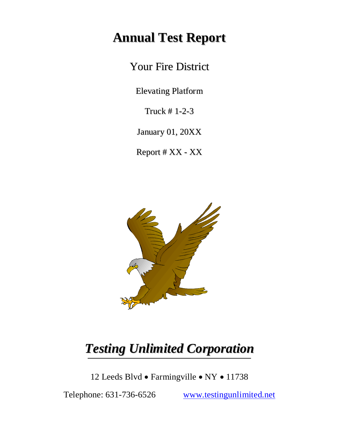# **Annual Test Report**

Your Fire District

Elevating Platform

Truck # 1-2-3

January 01, 20XX

Report # XX - XX



# *Testing Unlimited Corporation*

12 Leeds Blvd · Farmingville · NY · 11738

Telephone: 631-736-6526 [www.testingunlimited.net](http://www.testingunlimited.net/)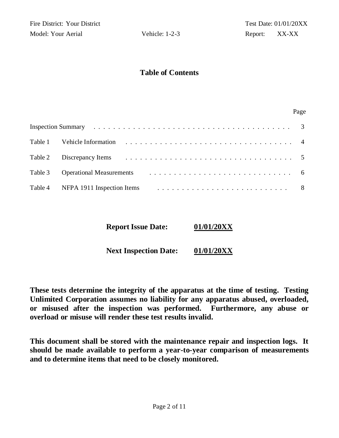#### **Table of Contents**

#### Page

| Table 3 Operational Measurements (and the contract of the contract of the contract of the contract of the contract of the contract of the contract of the contract of the contract of the contract of the contract of the cont |  |
|--------------------------------------------------------------------------------------------------------------------------------------------------------------------------------------------------------------------------------|--|
|                                                                                                                                                                                                                                |  |

**Report Issue Date: 01/01/20XX**

**Next Inspection Date: 01/01/20XX**

**These tests determine the integrity of the apparatus at the time of testing. Testing Unlimited Corporation assumes no liability for any apparatus abused, overloaded, or misused after the inspection was performed. Furthermore, any abuse or overload or misuse will render these test results invalid.**

**This document shall be stored with the maintenance repair and inspection logs. It should be made available to perform a year-to-year comparison of measurements and to determine items that need to be closely monitored.**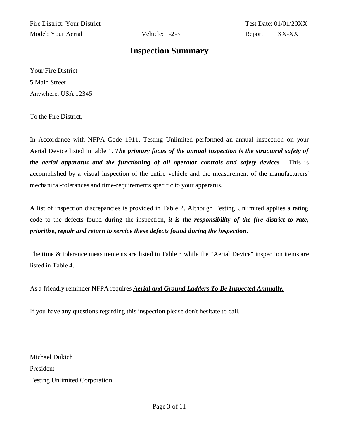Fire District: Your District Test Date: 01/01/20XX Model: Your Aerial Vehicle: 1-2-3 Report: XX-XX

#### **Inspection Summary**

Your Fire District 5 Main Street Anywhere, USA 12345

To the Fire District,

In Accordance with NFPA Code 1911, Testing Unlimited performed an annual inspection on your Aerial Device listed in table 1. *The primary focus of the annual inspection is the structural safety of the aerial apparatus and the functioning of all operator controls and safety devices.* This is accomplished by a visual inspection of the entire vehicle and the measurement of the manufacturers' mechanical-tolerances and time-requirements specific to your apparatus.

A list of inspection discrepancies is provided in Table 2. Although Testing Unlimited applies a rating code to the defects found during the inspection, *it is the responsibility of the fire district to rate, prioritize, repair and return to service these defects found during the inspection.* 

The time & tolerance measurements are listed in Table 3 while the "Aerial Device" inspection items are listed in Table 4.

As a friendly reminder NFPA requires *Aerial and Ground Ladders To Be Inspected Annually.*

If you have any questions regarding this inspection please don't hesitate to call.

Michael Dukich President Testing Unlimited Corporation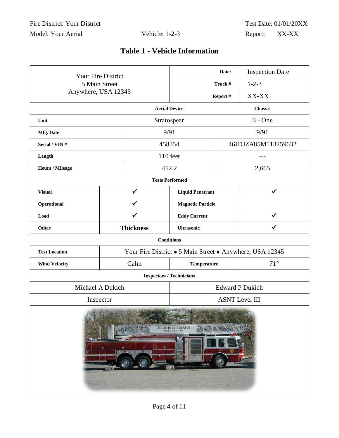## **Table 1 - Vehicle Information**

| Your Fire District                                                                                                                                                                                                                                               |                     | Date: |                                                          | <b>Inspection Date</b> |                     |
|------------------------------------------------------------------------------------------------------------------------------------------------------------------------------------------------------------------------------------------------------------------|---------------------|-------|----------------------------------------------------------|------------------------|---------------------|
| 5 Main Street                                                                                                                                                                                                                                                    |                     |       | Truck #                                                  |                        | $1 - 2 - 3$         |
|                                                                                                                                                                                                                                                                  | Anywhere, USA 12345 |       |                                                          | Report#                | XX-XX               |
|                                                                                                                                                                                                                                                                  |                     |       | <b>Aerial Device</b>                                     |                        | <b>Chassis</b>      |
| Unit                                                                                                                                                                                                                                                             |                     |       | Stratospear                                              |                        | E - One             |
| Mfg. Date                                                                                                                                                                                                                                                        |                     |       | 9/91                                                     |                        | 9/91                |
| Serial / VIN#                                                                                                                                                                                                                                                    |                     |       | 458354                                                   |                        | 46JDJZA85M113259632 |
| Length                                                                                                                                                                                                                                                           |                     |       | 110 feet                                                 |                        | ---                 |
| <b>Hours / Mileage</b>                                                                                                                                                                                                                                           |                     |       | 452.2                                                    |                        | 2,665               |
|                                                                                                                                                                                                                                                                  |                     |       | <b>Tests Performed</b>                                   |                        |                     |
| <b>Visual</b>                                                                                                                                                                                                                                                    | $\checkmark$        |       | <b>Liquid Penetrant</b>                                  |                        | $\checkmark$        |
| Operational                                                                                                                                                                                                                                                      | $\checkmark$        |       | <b>Magnetic Particle</b>                                 |                        |                     |
| Load                                                                                                                                                                                                                                                             | $\checkmark$        |       | <b>Eddy Current</b>                                      |                        | ✓                   |
| Other                                                                                                                                                                                                                                                            | <b>Thickness</b>    |       | <b>Ultrasonic</b>                                        |                        | $\checkmark$        |
|                                                                                                                                                                                                                                                                  |                     |       | <b>Conditions</b>                                        |                        |                     |
| <b>Test Location</b>                                                                                                                                                                                                                                             |                     |       | Your Fire District • 5 Main Street • Anywhere, USA 12345 |                        |                     |
| <b>Wind Velocity</b>                                                                                                                                                                                                                                             | Calm                |       | Temperature                                              |                        | $71^{\circ}$        |
|                                                                                                                                                                                                                                                                  |                     |       | <b>Inspectors / Technicians</b>                          |                        |                     |
|                                                                                                                                                                                                                                                                  | Michael A Dukich    |       | <b>Edward P Dukich</b>                                   |                        |                     |
|                                                                                                                                                                                                                                                                  | Inspector           |       | <b>ASNT Level III</b>                                    |                        |                     |
| Machineson (1993) And Constitution of the Constitution of the Constitution of the Constitution of the Constitution of the Constitution of the Constitution of the Constitution of the Constitution of the Constitution of the<br>ALBERTSON<br><b>HEL-EEH COJ</b> |                     |       |                                                          |                        |                     |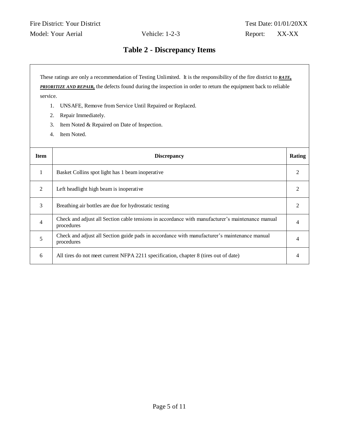### **Table 2 - Discrepancy Items**

These ratings are only a recommendation of Testing Unlimited. It is the responsibility of the fire district to *RATE,* **PRIORITIZE AND REPAIR**, the defects found during the inspection in order to return the equipment back to reliable service.

- 1. UNSAFE, Remove from Service Until Repaired or Replaced.
- 2. Repair Immediately.
- 3. Item Noted & Repaired on Date of Inspection.
- 4. Item Noted.

| <b>Item</b>    | <b>Discrepancy</b>                                                                                             | Rating |
|----------------|----------------------------------------------------------------------------------------------------------------|--------|
|                | Basket Collins spot light has 1 beam inoperative                                                               |        |
| $\overline{2}$ | Left headlight high beam is inoperative                                                                        |        |
| 3              | Breathing air bottles are due for hydrostatic testing                                                          |        |
| $\overline{4}$ | Check and adjust all Section cable tensions in accordance with manufacturer's maintenance manual<br>procedures |        |
| 5              | Check and adjust all Section guide pads in accordance with manufacturer's maintenance manual<br>procedures     |        |
| 6              | All tires do not meet current NFPA 2211 specification, chapter 8 (tires out of date)                           |        |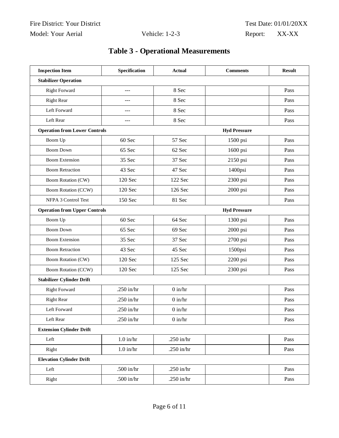## **Table 3 - Operational Measurements**

| <b>Inspection Item</b>               | Specification | <b>Actual</b> | <b>Comments</b>     | <b>Result</b> |
|--------------------------------------|---------------|---------------|---------------------|---------------|
| <b>Stabilizer Operation</b>          |               |               |                     |               |
| <b>Right Forward</b>                 | ---           | 8 Sec         |                     | Pass          |
| <b>Right Rear</b>                    | $---$         | 8 Sec         |                     | Pass          |
| Left Forward                         | ---           | 8 Sec         |                     | Pass          |
| Left Rear                            | ---           | 8 Sec         |                     | Pass          |
| <b>Operation from Lower Controls</b> |               |               | <b>Hyd Pressure</b> |               |
| Boom Up                              | 60 Sec        | 57 Sec        | 1500 psi            | Pass          |
| <b>Boom Down</b>                     | 65 Sec        | 62 Sec        | 1600 psi            | Pass          |
| <b>Boom Extension</b>                | 35 Sec        | 37 Sec        | 2150 psi            | Pass          |
| <b>Boom Retraction</b>               | 43 Sec        | 47 Sec        | 1400psi             | Pass          |
| Boom Rotation (CW)                   | 120 Sec       | 122 Sec       | 2300 psi            | Pass          |
| <b>Boom Rotation (CCW)</b>           | 120 Sec       | 126 Sec       | 2000 psi            | Pass          |
| NFPA 3 Control Test                  | 150 Sec       | 81 Sec        |                     | Pass          |
| <b>Operation from Upper Controls</b> |               |               | <b>Hyd Pressure</b> |               |
| Boom Up                              | 60 Sec        | 64 Sec        | 1300 psi            | Pass          |
| <b>Boom Down</b>                     | 65 Sec        | 69 Sec        | 2000 psi            | Pass          |
| <b>Boom Extension</b>                | 35 Sec        | 37 Sec        | 2700 psi            | Pass          |
| <b>Boom Retraction</b>               | 43 Sec        | 45 Sec        | 1500psi             | Pass          |
| <b>Boom Rotation (CW)</b>            | 120 Sec       | 125 Sec       | 2200 psi            | Pass          |
| <b>Boom Rotation (CCW)</b>           | 120 Sec       | 125 Sec       | 2300 psi            | Pass          |
| <b>Stabilizer Cylinder Drift</b>     |               |               |                     |               |
| <b>Right Forward</b>                 | .250 in/ $hr$ | $0$ in/ $hr$  |                     | Pass          |
| <b>Right Rear</b>                    | .250 in/ $hr$ | $0$ in/ $hr$  |                     | Pass          |
| Left Forward                         | .250 in/ $hr$ | $0$ in/ $hr$  |                     | Pass          |
| Left Rear                            | .250 in/hr    | $0$ in/ $hr$  |                     | Pass          |
| <b>Extension Cylinder Drift</b>      |               |               |                     |               |
| Left                                 | $1.0$ in/hr   | .250 in/hr    |                     | Pass          |
| Right                                | $1.0$ in/hr   | .250 in/ $hr$ |                     | Pass          |
| <b>Elevation Cylinder Drift</b>      |               |               |                     |               |
| Left                                 | .500 in/hr    | .250 in/hr    |                     | Pass          |
| Right                                | .500 in/hr    | .250 in/hr    |                     | Pass          |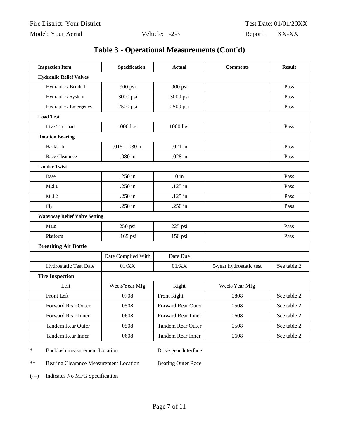|  |  | Table 3 - Operational Measurements (Cont'd) |  |
|--|--|---------------------------------------------|--|
|--|--|---------------------------------------------|--|

| <b>Inspection Item</b>               | Specification      | <b>Actual</b>            | <b>Comments</b>         | <b>Result</b> |
|--------------------------------------|--------------------|--------------------------|-------------------------|---------------|
| <b>Hydraulic Relief Valves</b>       |                    |                          |                         |               |
| Hydraulic / Bedded                   | 900 psi            | 900 psi                  |                         | Pass          |
| Hydraulic / System                   | 3000 psi           | 3000 psi                 |                         | Pass          |
| Hydraulic / Emergency                | 2500 psi           | 2500 psi                 |                         | Pass          |
| <b>Load Test</b>                     |                    |                          |                         |               |
| Live Tip Load                        | 1000 lbs.          | 1000 lbs.                |                         | Pass          |
| <b>Rotation Bearing</b>              |                    |                          |                         |               |
| Backlash                             | .015 - .030 in     | .021 in                  |                         | Pass          |
| Race Clearance                       | .080 in            | .028 in                  |                         | Pass          |
| <b>Ladder Twist</b>                  |                    |                          |                         |               |
| Base                                 | .250 in            | $0$ in                   |                         | Pass          |
| Mid 1                                | .250 in            | $.125$ in                |                         | Pass          |
| Mid 2                                | .250 in            | $.125$ in                |                         | Pass          |
| Fly                                  | .250 in            | .250 in                  |                         | Pass          |
| <b>Waterway Relief Valve Setting</b> |                    |                          |                         |               |
| Main                                 | 250 psi            | 225 psi                  |                         | Pass          |
| Platform                             | 165 psi            | 150 psi                  |                         | Pass          |
| <b>Breathing Air Bottle</b>          |                    |                          |                         |               |
|                                      | Date Complied With | Date Due                 |                         |               |
| Hydrostatic Test Date                | 01/XX              | 01/XX                    | 5-year hydrostatic test | See table 2   |
| <b>Tire Inspection</b>               |                    |                          |                         |               |
| Left                                 | Week/Year Mfg      | Right                    | Week/Year Mfg           |               |
| Front Left                           | 0708               | Front Right              | 0808                    | See table 2   |
| Forward Rear Outer                   | 0508               | Forward Rear Outer       | 0508                    | See table 2   |
| Forward Rear Inner                   | 0608               | Forward Rear Inner       | 0608                    | See table 2   |
| <b>Tandem Rear Outer</b>             | 0508               | <b>Tandem Rear Outer</b> | 0508                    | See table 2   |
| Tandem Rear Inner                    | 0608               | Tandem Rear Inner        | 0608                    | See table 2   |

\* Backlash measurement Location Drive gear Interface

\*\* Bearing Clearance Measurement Location Bearing Outer Race

(---) Indicates No MFG Specification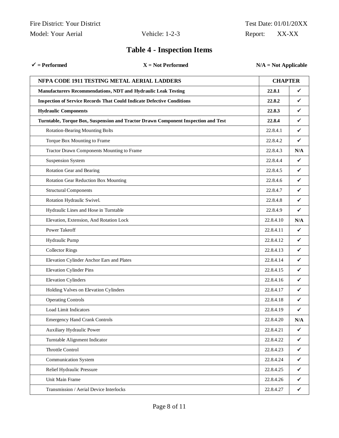|                    | Fire District: Your District |
|--------------------|------------------------------|
| Model: Your Aerial |                              |

| $\checkmark$ = Performed                                                      | $X = Not$ Performed                                                               | $N/A = Not$ Applicable |              |
|-------------------------------------------------------------------------------|-----------------------------------------------------------------------------------|------------------------|--------------|
| NFPA CODE 1911 TESTING METAL AERIAL LADDERS                                   |                                                                                   | <b>CHAPTER</b>         |              |
| Manufacturers Recommendations, NDT and Hydraulic Leak Testing                 |                                                                                   | 22.8.1                 | ✔            |
| <b>Inspection of Service Records That Could Indicate Defective Conditions</b> |                                                                                   | 22.8.2                 | $\checkmark$ |
| <b>Hydraulic Components</b>                                                   |                                                                                   | 22.8.3                 | $\checkmark$ |
|                                                                               | Turntable, Torque Box, Suspension and Tractor Drawn Component Inspection and Test | 22.8.4                 | ✔            |
| <b>Rotation-Bearing Mounting Bolts</b>                                        |                                                                                   | 22.8.4.1               | $\checkmark$ |
| Torque Box Mounting to Frame                                                  |                                                                                   | 22.8.4.2               | $\checkmark$ |
| Tractor Drawn Components Mounting to Frame                                    |                                                                                   | 22.8.4.3               | N/A          |
| <b>Suspension System</b>                                                      |                                                                                   | 22.8.4.4               | $\checkmark$ |
| Rotation Gear and Bearing                                                     |                                                                                   | 22.8.4.5               | $\checkmark$ |
| Rotation Gear Reduction Box Mounting                                          |                                                                                   | 22.8.4.6               | ✓            |
| <b>Structural Components</b>                                                  |                                                                                   | 22.8.4.7               | $\checkmark$ |
| Rotation Hydraulic Swivel.                                                    |                                                                                   | 22.8.4.8               | ✔            |
| Hydraulic Lines and Hose in Turntable                                         |                                                                                   | 22.8.4.9               | $\checkmark$ |
| Elevation, Extension, And Rotation Lock                                       |                                                                                   | 22.8.4.10              | N/A          |
| Power Takeoff                                                                 |                                                                                   | 22.8.4.11              | ✔            |
| Hydraulic Pump                                                                |                                                                                   | 22.8.4.12              | ✓            |
| <b>Collector Rings</b>                                                        |                                                                                   | 22.8.4.13              | ✓            |
| Elevation Cylinder Anchor Ears and Plates                                     |                                                                                   | 22.8.4.14              | ✓            |
| <b>Elevation Cylinder Pins</b>                                                |                                                                                   | 22.8.4.15              | ✓            |
| <b>Elevation Cylinders</b>                                                    |                                                                                   | 22.8.4.16              | ✓            |
| Holding Valves on Elevation Cylinders                                         |                                                                                   | 22.8.4.17              | ✓            |
| <b>Operating Controls</b>                                                     |                                                                                   | 22.8.4.18              | $\checkmark$ |
| Load Limit Indicators                                                         |                                                                                   | 22.8.4.19              | ✓            |
| <b>Emergency Hand Crank Controls</b>                                          |                                                                                   | 22.8.4.20              | N/A          |
| Auxiliary Hydraulic Power                                                     |                                                                                   | 22.8.4.21              | $\checkmark$ |
| Turntable Alignment Indicator                                                 |                                                                                   | 22.8.4.22              | $\checkmark$ |
| Throttle Control                                                              |                                                                                   | 22.8.4.23              | $\checkmark$ |
| <b>Communication System</b>                                                   |                                                                                   | 22.8.4.24              | $\checkmark$ |
| Relief Hydraulic Pressure                                                     |                                                                                   | 22.8.4.25              | $\checkmark$ |
| Unit Main Frame                                                               |                                                                                   | 22.8.4.26              | $\checkmark$ |
| Transmission / Aerial Device Interlocks                                       |                                                                                   | 22.8.4.27              | $\checkmark$ |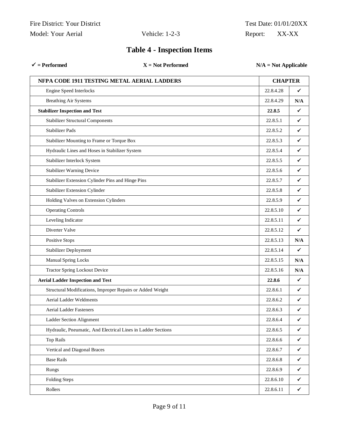| $=$ Performed |  |
|---------------|--|
|---------------|--|

**= Performed X = Not Performed N/A = Not Applicable**

| NFPA CODE 1911 TESTING METAL AERIAL LADDERS                   | <b>CHAPTER</b> |              |
|---------------------------------------------------------------|----------------|--------------|
| <b>Engine Speed Interlocks</b>                                | 22.8.4.28      | ✓            |
| <b>Breathing Air Systems</b>                                  | 22.8.4.29      | N/A          |
| <b>Stabilizer Inspection and Test</b>                         | 22.8.5         | ✓            |
| <b>Stabilizer Structural Components</b>                       | 22.8.5.1       | ✓            |
| <b>Stabilizer Pads</b>                                        | 22.8.5.2       | ✓            |
| Stabilizer Mounting to Frame or Torque Box                    | 22.8.5.3       | ✓            |
| Hydraulic Lines and Hoses in Stabilizer System                | 22.8.5.4       | ✓            |
| Stabilizer Interlock System                                   | 22.8.5.5       | ✓            |
| <b>Stabilizer Warning Device</b>                              | 22.8.5.6       | ✔            |
| Stabilizer Extension Cylinder Pins and Hinge Pins             | 22.8.5.7       | ✔            |
| Stabilizer Extension Cylinder                                 | 22.8.5.8       | ✔            |
| Holding Valves on Extension Cylinders                         | 22.8.5.9       | ✔            |
| <b>Operating Controls</b>                                     | 22.8.5.10      | ✔            |
| Leveling Indicator                                            | 22.8.5.11      | ✔            |
| Diverter Valve                                                | 22.8.5.12      | ✔            |
| Positive Stops                                                | 22.8.5.13      | N/A          |
| Stabilizer Deployment                                         | 22.8.5.14      | ✓            |
| <b>Manual Spring Locks</b>                                    | 22.8.5.15      | N/A          |
| <b>Tractor Spring Lockout Device</b>                          | 22.8.5.16      | N/A          |
| <b>Aerial Ladder Inspection and Test</b>                      | 22.8.6         | ✔            |
| Structural Modifications, Improper Repairs or Added Weight    | 22.8.6.1       | ✓            |
| Aerial Ladder Weldments                                       | 22.8.6.2       | ✔            |
| Aerial Ladder Fasteners                                       | 22.8.6.3       | ✔            |
| Ladder Section Alignment                                      | 22.8.6.4       | ✔            |
| Hydraulic, Pneumatic, And Electrical Lines in Ladder Sections | 22.8.6.5       | $\checkmark$ |
| <b>Top Rails</b>                                              | 22.8.6.6       | $\checkmark$ |
| Vertical and Diagonal Braces                                  | 22.8.6.7       | $\checkmark$ |
| <b>Base Rails</b>                                             | 22.8.6.8       | $\checkmark$ |
| Rungs                                                         | 22.8.6.9       | $\checkmark$ |
| <b>Folding Steps</b>                                          | 22.8.6.10      | $\checkmark$ |
| Rollers                                                       | 22.8.6.11      | $\checkmark$ |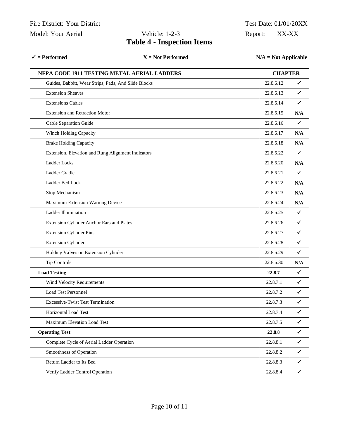#### $\checkmark$  = Performed **X** = Not Performed **N/A** = Not Applicable

| NFPA CODE 1911 TESTING METAL AERIAL LADDERS          | <b>CHAPTER</b> |     |
|------------------------------------------------------|----------------|-----|
| Guides, Babbitt, Wear Strips, Pads, And Slide Blocks | 22.8.6.12      | ✓   |
| <b>Extension Sheaves</b>                             | 22.8.6.13      | ✓   |
| <b>Extensions Cables</b>                             | 22.8.6.14      | ✓   |
| <b>Extension and Retraction Motor</b>                | 22.8.6.15      | N/A |
| Cable Separation Guide                               | 22.8.6.16      | ✓   |
| Winch Holding Capacity                               | 22.8.6.17      | N/A |
| <b>Brake Holding Capacity</b>                        | 22.8.6.18      | N/A |
| Extension, Elevation and Rung Alignment Indicators   | 22.8.6.22      | ✓   |
| Ladder Locks                                         | 22.8.6.20      | N/A |
| Ladder Cradle                                        | 22.8.6.21      | ✓   |
| Ladder Bed Lock                                      | 22.8.6.22      | N/A |
| Stop Mechanism                                       | 22.8.6.23      | N/A |
| Maximum Extension Warning Device                     | 22.8.6.24      | N/A |
| Ladder Illumination                                  | 22.8.6.25      | ✓   |
| Extension Cylinder Anchor Ears and Plates            | 22.8.6.26      | ✓   |
| <b>Extension Cylinder Pins</b>                       | 22.8.6.27      | ✓   |
| <b>Extension Cylinder</b>                            | 22.8.6.28      | ✓   |
| Holding Valves on Extension Cylinder                 | 22.8.6.29      | ✓   |
| <b>Tip Controls</b>                                  | 22.8.6.30      | N/A |
| <b>Load Testing</b>                                  | 22.8.7         | ✓   |
| Wind Velocity Requirements                           | 22.8.7.1       | ✓   |
| <b>Load Test Personnel</b>                           | 22.8.7.2       | ✓   |
| <b>Excessive-Twist Test Termination</b>              | 22.8.7.3       | ✓   |
| Horizontal Load Test                                 | 22.8.7.4       | ✓   |
| Maximum Elevation Load Test                          | 22.8.7.5       | ✓   |
| <b>Operating Test</b>                                | 22.8.8         | ✓   |
| Complete Cycle of Aerial Ladder Operation            | 22.8.8.1       | ✓   |
| Smoothness of Operation                              | 22.8.8.2       | ✓   |
| Return Ladder to Its Bed                             | 22.8.8.3       | ✓   |
| Verify Ladder Control Operation                      | 22.8.8.4       | ✓   |